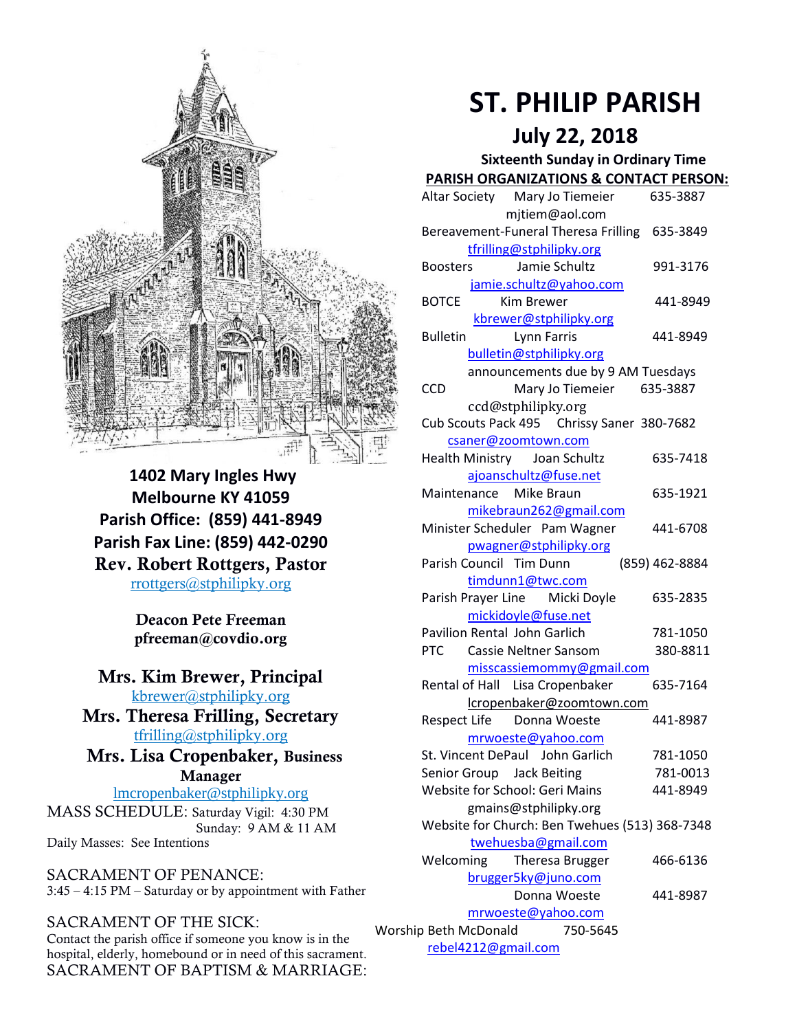

**1402 Mary Ingles Hwy Melbourne KY 41059 Parish Office: (859) 441-8949 Parish Fax Line: (859) 442-0290 Rev. Robert Rottgers, Pastor**  [rrottgers@stphilipky.org](mailto:rrottgers@stphilipky.org)

> **Deacon Pete Freeman pfreeman@covdio.org**

## **Mrs. Kim Brewer, Principal**  [kbrewer@stphilipky.org](mailto:kbrewer@stphilipky.org)

**Mrs. Theresa Frilling, Secretary**  [tfrilling@stphilipky.org](mailto:tfrilling@stphilipky.org)

## **Mrs. Lisa Cropenbaker, Business Manager**

lmcropenbaker@stphilipky.org MASS SCHEDULE: Saturday Vigil: 4:30 PM Sunday: 9 AM & 11 AM

Daily Masses: See Intentions

SACRAMENT OF PENANCE: 3:45 – 4:15 PM – Saturday or by appointment with Father

## SACRAMENT OF THE SICK:

Contact the parish office if someone you know is in the hospital, elderly, homebound or in need of this sacrament. SACRAMENT OF BAPTISM & MARRIAGE:

# **ST. PHILIP PARISH**

 **July 22, 2018**

#### **Sixteenth Sunday in Ordinary Time PARISH ORGANIZATIONS & CONTACT PERSON:**

|                                                 | Altar Society Mary Jo Tiemeier                 | 635-3887       |
|-------------------------------------------------|------------------------------------------------|----------------|
|                                                 | mjtiem@aol.com                                 |                |
|                                                 | Bereavement-Funeral Theresa Frilling           | 635-3849       |
|                                                 | tfrilling@stphilipky.org                       |                |
|                                                 | Jamie Schultz<br><b>Boosters</b>               | 991-3176       |
|                                                 | jamie.schultz@yahoo.com                        |                |
|                                                 | <b>BOTCE</b><br>Kim Brewer                     | 441-8949       |
|                                                 | kbrewer@stphilipky.org                         |                |
|                                                 | <b>Lynn Farris</b><br><b>Bulletin</b>          | 441-8949       |
|                                                 | bulletin@stphilipky.org                        |                |
|                                                 | announcements due by 9 AM Tuesdays             |                |
|                                                 | Mary Jo Tiemeier 635-3887<br><b>CCD</b>        |                |
|                                                 | ccd@stphilipky.org                             |                |
|                                                 | Cub Scouts Pack 495 Chrissy Saner 380-7682     |                |
|                                                 | csaner@zoomtown.com                            |                |
|                                                 | Health Ministry Joan Schultz                   | 635-7418       |
|                                                 | ajoanschultz@fuse.net                          |                |
|                                                 | Maintenance Mike Braun                         | 635-1921       |
|                                                 | mikebraun262@gmail.com                         |                |
|                                                 | Minister Scheduler Pam Wagner                  | 441-6708       |
|                                                 | pwagner@stphilipky.org                         |                |
|                                                 | Parish Council Tim Dunn                        | (859) 462-8884 |
|                                                 | timdunn1@twc.com                               |                |
|                                                 | Parish Prayer Line Micki Doyle                 | 635-2835       |
|                                                 | mickidoyle@fuse.net                            |                |
|                                                 | Pavilion Rental John Garlich                   | 781-1050       |
|                                                 | <b>PTC</b><br>Cassie Neltner Sansom            | 380-8811       |
|                                                 | misscassiemommy@gmail.com                      |                |
|                                                 | Rental of Hall Lisa Cropenbaker                | 635-7164       |
|                                                 | lcropenbaker@zoomtown.com                      |                |
|                                                 | Respect Life Donna Woeste                      | 441-8987       |
|                                                 | mrwoeste@yahoo.com                             |                |
|                                                 | St. Vincent DePaul John Garlich                | 781-1050       |
|                                                 | Senior Group Jack Beiting                      | 781-0013       |
|                                                 | Website for School: Geri Mains                 | 441-8949       |
|                                                 | gmains@stphilipky.org                          |                |
|                                                 | Website for Church: Ben Twehues (513) 368-7348 |                |
|                                                 | twehuesba@gmail.com                            |                |
|                                                 | Welcoming<br>Theresa Brugger                   | 466-6136       |
| brugger5ky@juno.com<br>Donna Woeste<br>441-8987 |                                                |                |
|                                                 |                                                |                |
| 750-5645<br>Worship Beth McDonald               |                                                |                |

[rebel4212@gmail.com](mailto:trebel4212@gmail.com)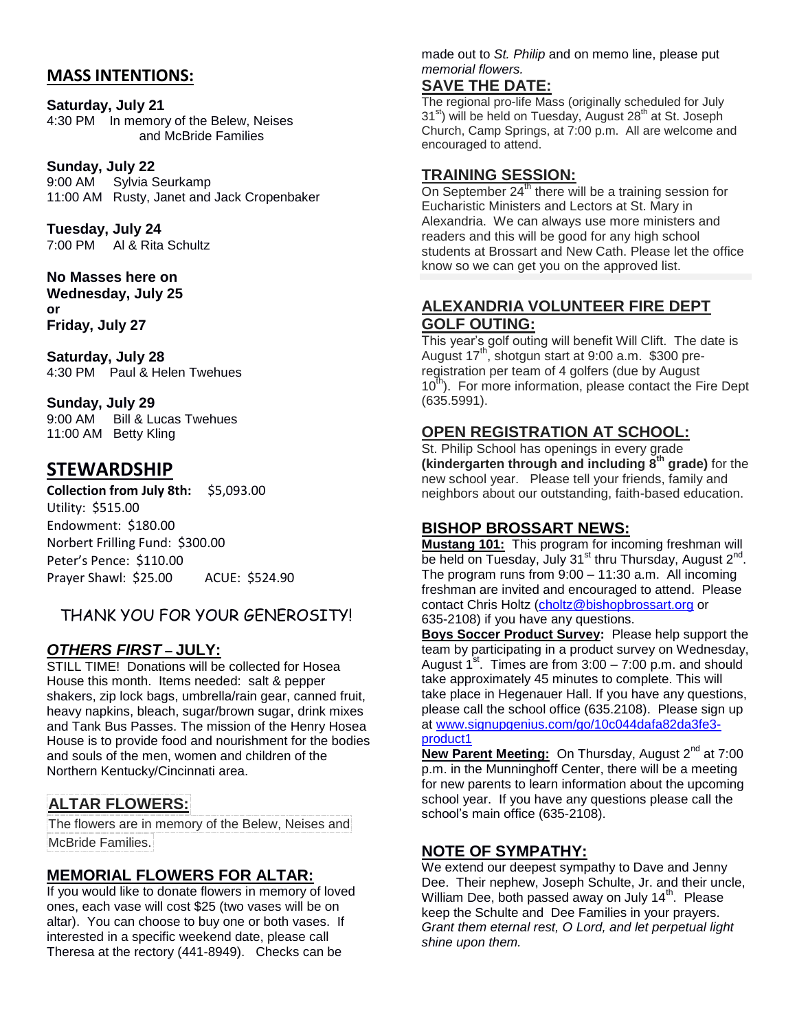# **MASS INTENTIONS:**

**Saturday, July 21**  4:30 PM In memory of the Belew, Neises and McBride Families

**Sunday, July 22** 9:00 AM Sylvia Seurkamp 11:00 AM Rusty, Janet and Jack Cropenbaker

**Tuesday, July 24** 7:00 PM Al & Rita Schultz

**No Masses here on Wednesday, July 25 or Friday, July 27**

**Saturday, July 28**  4:30 PM Paul & Helen Twehues

#### **Sunday, July 29** 9:00 AM Bill & Lucas Twehues 11:00 AM Betty Kling

# **STEWARDSHIP**

**Collection from July 8th:** \$5,093.00 Utility: \$515.00 Endowment: \$180.00 Norbert Frilling Fund: \$300.00 Peter's Pence: \$110.00 Prayer Shawl: \$25.00 ACUE: \$524.90

# THANK YOU FOR YOUR GENEROSITY!

# *OTHERS FIRST* **– JULY:**

STILL TIME! Donations will be collected for Hosea House this month. Items needed: salt & pepper shakers, zip lock bags, umbrella/rain gear, canned fruit, heavy napkins, bleach, sugar/brown sugar, drink mixes and Tank Bus Passes. The mission of the Henry Hosea House is to provide food and nourishment for the bodies and souls of the men, women and children of the Northern Kentucky/Cincinnati area.

# **ALTAR FLOWERS:**

The flowers are in memory of the Belew, Neises and McBride Families.

# **MEMORIAL FLOWERS FOR ALTAR:**

If you would like to donate flowers in memory of loved ones, each vase will cost \$25 (two vases will be on altar). You can choose to buy one or both vases. If interested in a specific weekend date, please call Theresa at the rectory (441-8949). Checks can be

made out to *St. Philip* and on memo line, please put *memorial flowers.* 

# **SAVE THE DATE:**

The regional pro-life Mass (originally scheduled for July 31<sup>st</sup>) will be held on Tuesday, August 28<sup>th</sup> at St. Joseph Church, Camp Springs, at 7:00 p.m. All are welcome and encouraged to attend.

## **TRAINING SESSION:**

On September  $24<sup>th</sup>$  there will be a training session for Eucharistic Ministers and Lectors at St. Mary in Alexandria. We can always use more ministers and readers and this will be good for any high school students at Brossart and New Cath. Please let the office know so we can get you on the approved list.

## **ALEXANDRIA VOLUNTEER FIRE DEPT GOLF OUTING:**

This year's golf outing will benefit Will Clift. The date is August 17<sup>th</sup>, shotgun start at 9:00 a.m. \$300 preregistration per team of 4 golfers (due by August  $10<sup>th</sup>$ ). For more information, please contact the Fire Dept (635.5991).

# **OPEN REGISTRATION AT SCHOOL:**

St. Philip School has openings in every grade **(kindergarten through and including 8th grade)** for the new school year. Please tell your friends, family and neighbors about our outstanding, faith-based education.

# **BISHOP BROSSART NEWS:**

**Mustang 101:** This program for incoming freshman will be held on Tuesday, July 31<sup>st</sup> thru Thursday, August 2<sup>nd</sup>. The program runs from 9:00 – 11:30 a.m. All incoming freshman are invited and encouraged to attend. Please contact Chris Holtz [\(choltz@bishopbrossart.org](mailto:choltz@bishopbrossart.org) or 635-2108) if you have any questions.

**Boys Soccer Product Survey:** Please help support the team by participating in a product survey on Wednesday, August  $1^{st}$ . Times are from 3:00 – 7:00 p.m. and should take approximately 45 minutes to complete. This will take place in Hegenauer Hall. If you have any questions, please call the school office (635.2108). Please sign up at [www.signupgenius.com/go/10c044dafa82da3fe3-](https://www.signupgenius.com/go/10c044dafa82da3fe3-product1)

#### [product1](https://www.signupgenius.com/go/10c044dafa82da3fe3-product1)

**New Parent Meeting:** On Thursday, August 2<sup>nd</sup> at 7:00 p.m. in the Munninghoff Center, there will be a meeting for new parents to learn information about the upcoming school year. If you have any questions please call the school's main office (635-2108).

# **NOTE OF SYMPATHY:**

We extend our deepest sympathy to Dave and Jenny Dee. Their nephew, Joseph Schulte, Jr. and their uncle, William Dee, both passed away on July 14<sup>th</sup>. Please keep the Schulte and Dee Families in your prayers. *Grant them eternal rest, O Lord, and let perpetual light shine upon them.*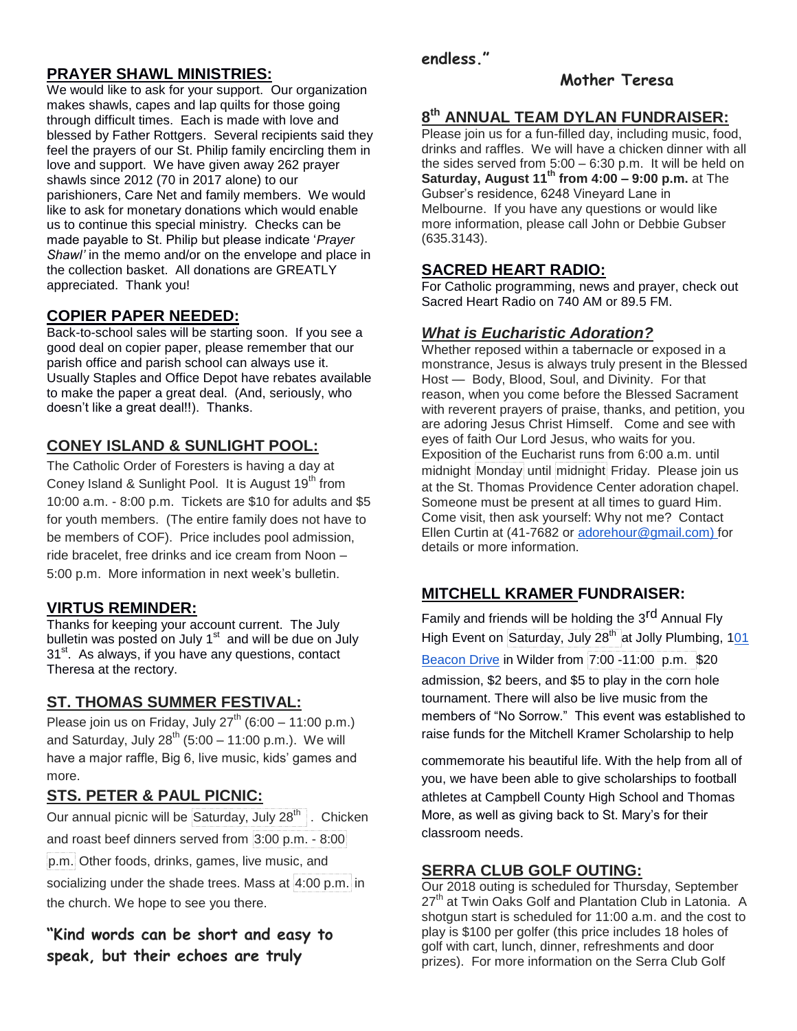# **PRAYER SHAWL MINISTRIES:**

We would like to ask for your support. Our organization makes shawls, capes and lap quilts for those going through difficult times. Each is made with love and blessed by Father Rottgers. Several recipients said they feel the prayers of our St. Philip family encircling them in love and support. We have given away 262 prayer shawls since 2012 (70 in 2017 alone) to our parishioners, Care Net and family members. We would like to ask for monetary donations which would enable us to continue this special ministry. Checks can be made payable to St. Philip but please indicate '*Prayer Shawl'* in the memo and/or on the envelope and place in the collection basket. All donations are GREATLY appreciated. Thank you!

# **COPIER PAPER NEEDED:**

Back-to-school sales will be starting soon. If you see a good deal on copier paper, please remember that our parish office and parish school can always use it. Usually Staples and Office Depot have rebates available to make the paper a great deal. (And, seriously, who doesn't like a great deal!!). Thanks.

# **CONEY ISLAND & SUNLIGHT POOL:**

The Catholic Order of Foresters is having a day at Coney Island & Sunlight Pool. It is August 19<sup>th</sup> from 10:00 a.m. - 8:00 p.m. Tickets are \$10 for adults and \$5 for youth members. (The entire family does not have to be members of COF). Price includes pool admission, ride bracelet, free drinks and ice cream from Noon – 5:00 p.m. More information in next week's bulletin.

## **VIRTUS REMINDER:**

Thanks for keeping your account current. The July bulletin was posted on July 1<sup>st</sup> and will be due on July 31<sup>st</sup>. As always, if you have any questions, contact Theresa at the rectory.

#### **ST. THOMAS SUMMER FESTIVAL:**

Please join us on Friday, July  $27<sup>th</sup>$  (6:00 – 11:00 p.m.) and Saturday, July  $28^{th}$  (5:00 – 11:00 p.m.). We will have a major raffle, Big 6, live music, kids' games and more.

## **STS. PETER & PAUL PICNIC:**

Our annual picnic will be Saturday, July  $28<sup>th</sup>$ . Chicken and roast beef dinners served from 3:00 p.m. - 8:00 p.m. Other foods, drinks, games, live music, and socializing under the shade trees. Mass at 4:00 p.m. in the church. We hope to see you there.

**"Kind words can be short and easy to speak, but their echoes are truly** 

## **endless."**

#### **Mother Teresa**

# **8 th ANNUAL TEAM DYLAN FUNDRAISER:**

Please join us for a fun-filled day, including music, food, drinks and raffles. We will have a chicken dinner with all the sides served from 5:00 – 6:30 p.m. It will be held on **Saturday, August 11th from 4:00 – 9:00 p.m.** at The Gubser's residence, 6248 Vineyard Lane in Melbourne. If you have any questions or would like more information, please call John or Debbie Gubser (635.3143).

#### **SACRED HEART RADIO:**

For Catholic programming, news and prayer, check out Sacred Heart Radio on 740 AM or 89.5 FM.

#### *What is Eucharistic Adoration?*

Whether reposed within a tabernacle or exposed in a monstrance, Jesus is always truly present in the Blessed Host — Body, Blood, Soul, and Divinity. For that reason, when you come before the Blessed Sacrament with reverent prayers of praise, thanks, and petition, you are adoring Jesus Christ Himself. Come and see with eyes of faith Our Lord Jesus, who waits for you. Exposition of the Eucharist runs from 6:00 a.m. until midnight Monday until midnight Friday. Please join us at the St. Thomas Providence Center adoration chapel. Someone must be present at all times to guard Him. Come visit, then ask yourself: Why not me? Contact Ellen Curtin at (41-7682 or [adorehour@gmail.com\)](mailto:adorehour@gmail.com) for details or more information.

# **MITCHELL KRAMER FUNDRAISER:**

Family and friends will be holding the 3<sup>rd</sup> Annual Fly High Event on Saturday, July 28<sup>th</sup> at Jolly Plumbing, 101

[Beacon Drive](https://maps.google.com/?q=101+Beacon+Drive&entry=gmail&source=g) in Wilder from 7:00 -11:00 p.m. \$20 admission, \$2 beers, and \$5 to play in the corn hole tournament. There will also be live music from the members of "No Sorrow." This event was established to raise funds for the Mitchell Kramer Scholarship to help

commemorate his beautiful life. With the help from all of you, we have been able to give scholarships to football athletes at Campbell County High School and Thomas More, as well as giving back to St. Mary's for their classroom needs.

#### **SERRA CLUB GOLF OUTING:**

Our 2018 outing is scheduled for Thursday, September 27<sup>th</sup> at Twin Oaks Golf and Plantation Club in Latonia. A shotgun start is scheduled for 11:00 a.m. and the cost to play is \$100 per golfer (this price includes 18 holes of golf with cart, lunch, dinner, refreshments and door prizes). For more information on the Serra Club Golf